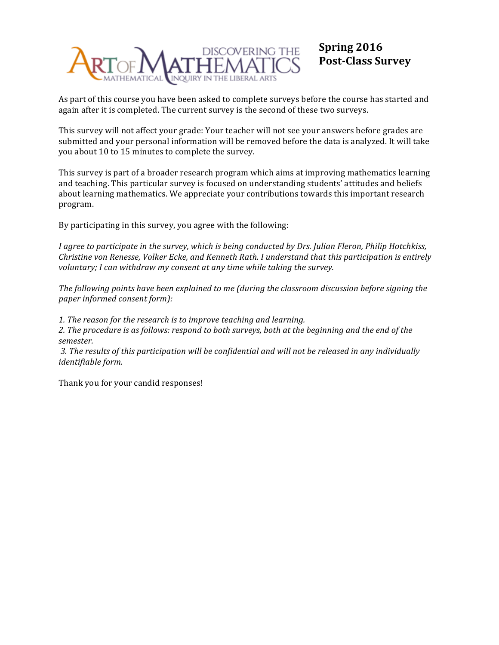

# **Spring 2016 Post-Class Survey**

As part of this course you have been asked to complete surveys before the course has started and again after it is completed. The current survey is the second of these two surveys.

This survey will not affect your grade: Your teacher will not see your answers before grades are submitted and your personal information will be removed before the data is analyzed. It will take you about 10 to 15 minutes to complete the survey.

This survey is part of a broader research program which aims at improving mathematics learning and teaching. This particular survey is focused on understanding students' attitudes and beliefs about learning mathematics. We appreciate your contributions towards this important research program.

By participating in this survey, you agree with the following:

*I* agree to participate in the survey, which is being conducted by Drs. Julian Fleron, Philip Hotchkiss, *Christine* von Renesse, *Volker Ecke, and Kenneth Rath. I understand that this participation is entirely voluntary; I can withdraw my consent at any time while taking the survey.* 

The following points have been explained to me (during the classroom discussion before signing the *paper informed consent form):*

1. The reason for the research is to improve teaching and learning.

2. The procedure is as follows: respond to both surveys, both at the beginning and the end of the *semester.*

3. The results of this participation will be confidential and will not be released in any individually *identifiable form.*

Thank you for your candid responses!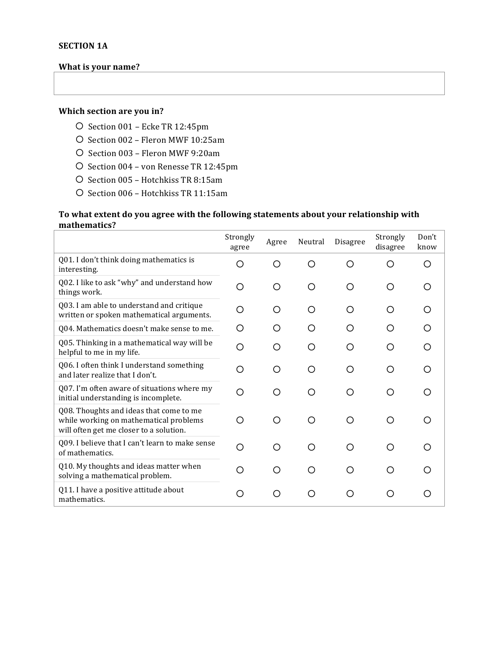### **What is your name?**

### **Which section are you in?**

- O Section 001 Ecke TR 12:45pm
- O Section 002 Fleron MWF 10:25am
- O Section 003 Fleron MWF 9:20am
- O Section 004 von Renesse TR 12:45pm
- O Section 005 Hotchkiss TR 8:15am
- O Section 006 Hotchkiss TR 11:15am

#### To what extent do you agree with the following statements about your relationship with **mathematics?**

|                                                                                                                              | Strongly<br>agree | Agree | Neutral | Disagree | Strongly<br>disagree | Don't<br>know |
|------------------------------------------------------------------------------------------------------------------------------|-------------------|-------|---------|----------|----------------------|---------------|
| Q01. I don't think doing mathematics is<br>interesting.                                                                      | ∩                 | ∩     | ∩       | ∩        | ∩                    | ∩             |
| Q02. I like to ask "why" and understand how<br>things work.                                                                  | Ω                 | Ω     | O       | ◯        | O                    | ∩             |
| Q03. I am able to understand and critique<br>written or spoken mathematical arguments.                                       | Ω                 | ◯     | ∩       | ◯        | O                    |               |
| Q04. Mathematics doesn't make sense to me.                                                                                   | O                 | O     | O       | O        | O                    |               |
| Q05. Thinking in a mathematical way will be<br>helpful to me in my life.                                                     | ∩                 | ∩     | ∩       | ∩        | ◯                    |               |
| Q06. I often think I understand something<br>and later realize that I don't.                                                 | ∩                 | ∩     | ∩       | ∩        | O                    | ∩             |
| Q07. I'm often aware of situations where my<br>initial understanding is incomplete.                                          | ∩                 | ( )   | ∩       | ( )      | O                    | ∩             |
| Q08. Thoughts and ideas that come to me<br>while working on mathematical problems<br>will often get me closer to a solution. | ∩                 | ∩     | ∩       | ∩        | O                    | ∩             |
| Q09. I believe that I can't learn to make sense<br>of mathematics.                                                           | ∩                 | ∩     | ∩       | ∩        | ∩                    |               |
| Q10. My thoughts and ideas matter when<br>solving a mathematical problem.                                                    | ∩                 | ∩     | ◯       | ∩        | ∩                    | ∩             |
| Q11. I have a positive attitude about<br>mathematics.                                                                        | O                 | ∩     | ∩       | ◯        | O                    |               |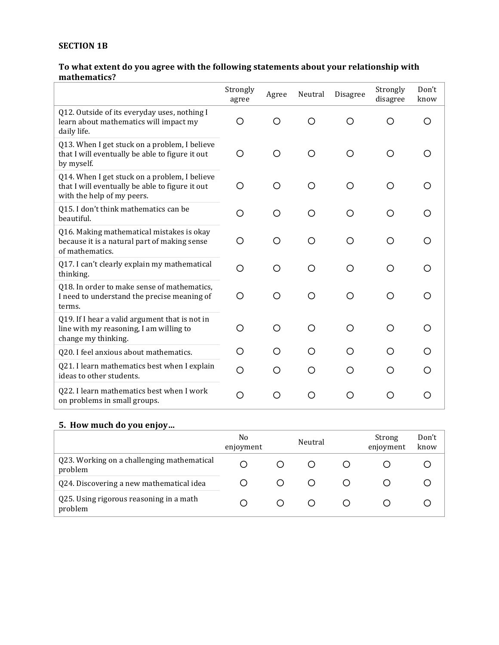### **SECTION 1B**

### To what extent do you agree with the following statements about your relationship with **mathematics?**

|                                                                                                                                | Strongly<br>agree | Agree | Neutral | <b>Disagree</b> | Strongly<br>disagree | Don't<br>know |
|--------------------------------------------------------------------------------------------------------------------------------|-------------------|-------|---------|-----------------|----------------------|---------------|
| Q12. Outside of its everyday uses, nothing I<br>learn about mathematics will impact my<br>daily life.                          | O                 | ∩     | ∩       | ∩               | ∩                    | ∩             |
| Q13. When I get stuck on a problem, I believe<br>that I will eventually be able to figure it out<br>by myself.                 | O                 | Ω     | ∩       | O               | ◯                    |               |
| Q14. When I get stuck on a problem, I believe<br>that I will eventually be able to figure it out<br>with the help of my peers. | O                 | ∩     |         | ∩               | ∩                    |               |
| Q15. I don't think mathematics can be<br>beautiful.                                                                            | O                 | ( )   |         | O               | Ω                    |               |
| Q16. Making mathematical mistakes is okay<br>because it is a natural part of making sense<br>of mathematics.                   | ∩                 | ∩     | ∩       | ◯               | ∩                    |               |
| Q17. I can't clearly explain my mathematical<br>thinking.                                                                      | O                 | ∩     | ∩       | ◯               | ◯                    |               |
| Q18. In order to make sense of mathematics,<br>I need to understand the precise meaning of<br>terms.                           | О                 | ∩     | ∩       | ◯               | O                    |               |
| Q19. If I hear a valid argument that is not in<br>line with my reasoning, I am willing to<br>change my thinking.               | ∩                 | О     | ∩       | O               | O                    | ∩             |
| Q20. I feel anxious about mathematics.                                                                                         | O                 | ( )   |         | ◯               | ( )                  |               |
| Q21. I learn mathematics best when I explain<br>ideas to other students.                                                       | O                 | ∩     | ◯       | ◯               | ◯                    |               |
| Q22. I learn mathematics best when I work<br>on problems in small groups.                                                      | O                 | ∩     | ( )     | O               | ( )                  |               |

### **5. How much do you enjoy…**

|                                                       | No<br>enjoyment | Neutral |  | Strong<br>enjoyment | Don't<br>know |
|-------------------------------------------------------|-----------------|---------|--|---------------------|---------------|
| Q23. Working on a challenging mathematical<br>problem | О               |         |  |                     |               |
| Q24. Discovering a new mathematical idea              |                 |         |  |                     |               |
| Q25. Using rigorous reasoning in a math<br>problem    |                 |         |  |                     |               |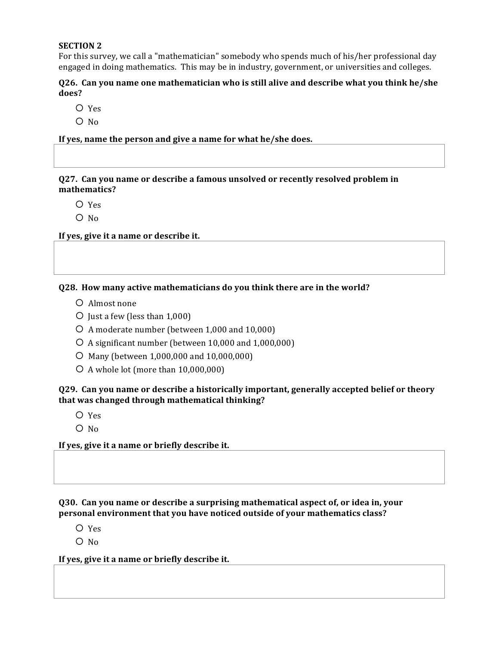#### **SECTION 2**

For this survey, we call a "mathematician" somebody who spends much of his/her professional day engaged in doing mathematics. This may be in industry, government, or universities and colleges.

#### **Q26.** Can you name one mathematician who is still alive and describe what you think he/she **does?**

- ¡ Yes
- $O$  No

If yes, name the person and give a name for what he/she does.

**Q27.** Can you name or describe a famous unsolved or recently resolved problem in **mathematics?**

- $O$  Yes
- $O$  No

If yes, give it a name or describe it.

#### **Q28.** How many active mathematicians do you think there are in the world?

- $O$  Almost none
- $\circ$  Just a few (less than 1,000)
- $\circ$  A moderate number (between 1,000 and 10,000)
- $\overline{O}$  A significant number (between 10,000 and 1,000,000)
- $\circ$  Many (between 1,000,000 and 10,000,000)
- $\circ$  A whole lot (more than 10,000,000)

#### Q29. Can you name or describe a historically important, generally accepted belief or theory that was changed through mathematical thinking?

- $O$  Yes
- $O$  No

#### If yes, give it a name or briefly describe it.

**Q30.** Can vou name or describe a surprising mathematical aspect of, or idea in, your **personal environment that you have noticed outside of your mathematics class?** 

- ¡ Yes
- $O$  No

#### If yes, give it a name or briefly describe it.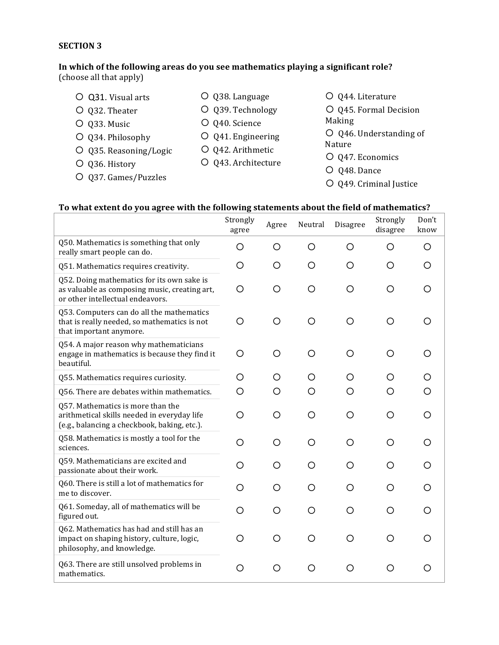#### **SECTION 3**

#### In which of the following areas do you see mathematics playing a significant role? (choose all that apply)

- O Q31. Visual arts
- O Q32. Theater
- O Q33. Music
- O Q34. Philosophy
- O Q35. Reasoning/Logic
- O Q36. History
- O Q37. Games/Puzzles
- O Q39. Technology

O Q38. Language

- O Q40. Science
- O Q41. Engineering
- O Q42. Arithmetic
- O Q43. Architecture
- O Q44. Literature O Q45. Formal Decision Making
- $O$  Q46. Understanding of Nature
- O Q47. Economics
- O Q48. Dance
- O Q49. Criminal Justice

### To what extent do you agree with the following statements about the field of mathematics?

|                                                                                                                                  | Strongly<br>agree | Agree | Neutral | Disagree | Strongly<br>disagree | Don't<br>know |
|----------------------------------------------------------------------------------------------------------------------------------|-------------------|-------|---------|----------|----------------------|---------------|
| Q50. Mathematics is something that only<br>really smart people can do.                                                           | O                 | О     | O       | O        | O                    | O             |
| Q51. Mathematics requires creativity.                                                                                            | O                 | ◯     | O       | O        | O                    | O             |
| Q52. Doing mathematics for its own sake is<br>as valuable as composing music, creating art,<br>or other intellectual endeavors.  | O                 | O     | $\circ$ | O        | O                    | O             |
| Q53. Computers can do all the mathematics<br>that is really needed, so mathematics is not<br>that important anymore.             | O                 | O     | $\circ$ | O        | O                    | O             |
| Q54. A major reason why mathematicians<br>engage in mathematics is because they find it<br>beautiful.                            | O                 | O     | O       | O        | O                    | O             |
| Q55. Mathematics requires curiosity.                                                                                             | O                 | Ο     | Ő       | Ο        | Ő                    |               |
| Q56. There are debates within mathematics.                                                                                       | O                 | O     | O       | O        | О                    |               |
| Q57. Mathematics is more than the<br>arithmetical skills needed in everyday life<br>(e.g., balancing a checkbook, baking, etc.). | O                 | О     | O       | O        | O                    | O             |
| Q58. Mathematics is mostly a tool for the<br>sciences.                                                                           | O                 | O     | O       | O        | O                    | ( )           |
| Q59. Mathematicians are excited and<br>passionate about their work.                                                              | O                 | Ω     | O       | Ω        | O                    | O             |
| Q60. There is still a lot of mathematics for<br>me to discover.                                                                  | O                 | ∩     | ∩       | Ω        | Ω                    |               |
| Q61. Someday, all of mathematics will be<br>figured out.                                                                         | O                 | Ω     | O       | O        | O                    | O             |
| Q62. Mathematics has had and still has an<br>impact on shaping history, culture, logic,<br>philosophy, and knowledge.            | O                 | О     | O       | O        | O                    | O             |
| Q63. There are still unsolved problems in<br>mathematics.                                                                        | O                 | O     | O       | O        | O                    | O             |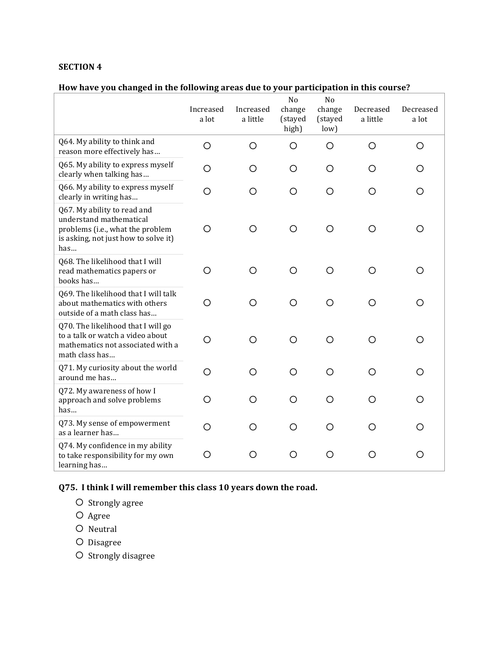#### **SECTION 4**

## How have you changed in the following areas due to your participation in this course?

|                                                                                                                                           | Increased<br>a lot | Increased<br>a little | No<br>change<br>(stayed<br>high) | N <sub>o</sub><br>change<br>(stayed<br>low) | Decreased<br>a little | Decreased<br>a lot |
|-------------------------------------------------------------------------------------------------------------------------------------------|--------------------|-----------------------|----------------------------------|---------------------------------------------|-----------------------|--------------------|
| Q64. My ability to think and<br>reason more effectively has                                                                               | $\circ$            | $\circ$               | O                                | O                                           | O                     | O                  |
| Q65. My ability to express myself<br>clearly when talking has                                                                             | O                  | O                     | O                                | O                                           | O                     | О                  |
| Q66. My ability to express myself<br>clearly in writing has                                                                               | O                  | O                     | O                                | O                                           | O                     | O                  |
| Q67. My ability to read and<br>understand mathematical<br>problems (i.e., what the problem<br>is asking, not just how to solve it)<br>has | O                  | O                     | O                                | O                                           | O                     | O                  |
| Q68. The likelihood that I will<br>read mathematics papers or<br>books has                                                                | O                  | O                     | O                                | O                                           | O                     | O                  |
| Q69. The likelihood that I will talk<br>about mathematics with others<br>outside of a math class has                                      | O                  | O                     | O                                | O                                           | O                     | Ω                  |
| Q70. The likelihood that I will go<br>to a talk or watch a video about<br>mathematics not associated with a<br>math class has             | O                  | O                     | ∩                                | O                                           | O                     | O                  |
| Q71. My curiosity about the world<br>around me has                                                                                        | O                  | O                     | O                                | O                                           | O                     | О                  |
| Q72. My awareness of how I<br>approach and solve problems<br>has                                                                          | O                  | O                     | O                                | O                                           | O                     | О                  |
| Q73. My sense of empowerment<br>as a learner has                                                                                          | O                  | O                     | O                                | O                                           | Ο                     | О                  |
| Q74. My confidence in my ability<br>to take responsibility for my own<br>learning has                                                     | O                  | O                     | O                                | O                                           | O                     | O                  |

**Q75.** I think I will remember this class 10 years down the road.

- O Strongly agree
- O Agree
- O Neutral
- O Disagree
- O Strongly disagree